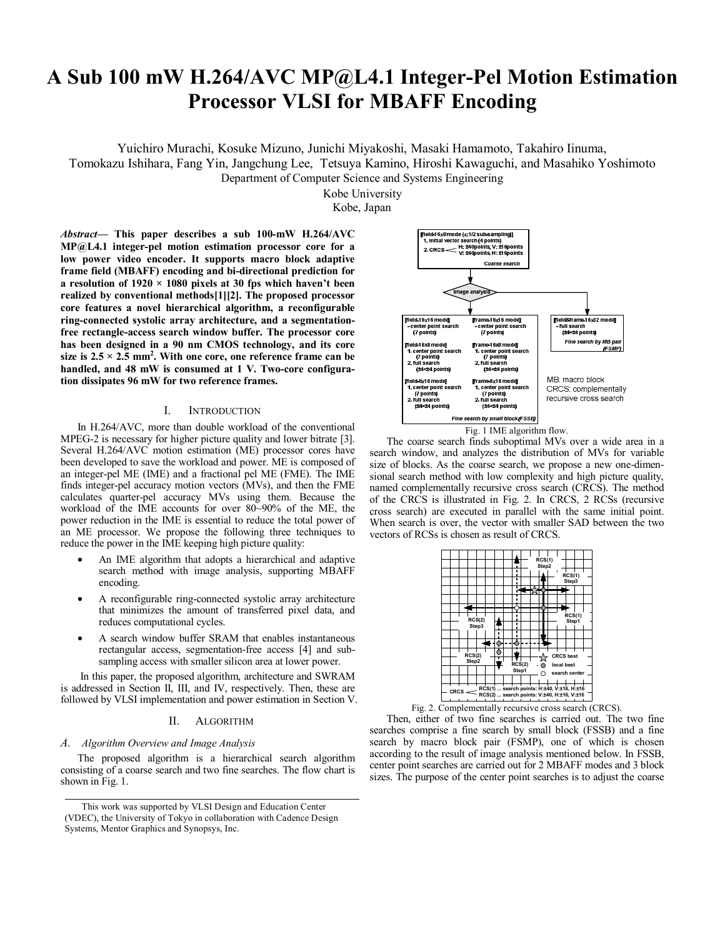# **A Sub 100 mW H.264/AVC MP@L4.1 Integer-Pel Motion Estimation Processor VLSI for MBAFF Encoding**

Yuichiro Murachi, Kosuke Mizuno, Junichi Miyakoshi, Masaki Hamamoto, Takahiro Iinuma,

Tomokazu Ishihara, Fang Yin, Jangchung Lee, Tetsuya Kamino, Hiroshi Kawaguchi, and Masahiko Yoshimoto Department of Computer Science and Systems Engineering

Kobe University

Kobe, Japan

*Abstract***— This paper describes a sub 100-mW H.264/AVC MP@L4.1 integer-pel motion estimation processor core for a low power video encoder. It supports macro block adaptive frame field (MBAFF) encoding and bi-directional prediction for a resolution of 1920 × 1080 pixels at 30 fps which haven't been realized by conventional methods[1][2]. The proposed processor core features a novel hierarchical algorithm, a reconfigurable ring-connected systolic array architecture, and a segmentationfree rectangle-access search window buffer. The processor core has been designed in a 90 nm CMOS technology, and its core**  size is  $2.5 \times 2.5$  mm<sup>2</sup>. With one core, one reference frame can be **handled, and 48 mW is consumed at 1 V. Two-core configuration dissipates 96 mW for two reference frames.** 

# I. INTRODUCTION

In H.264/AVC, more than double workload of the conventional MPEG-2 is necessary for higher picture quality and lower bitrate [3]. Several H.264/AVC motion estimation (ME) processor cores have been developed to save the workload and power. ME is composed of an integer-pel ME (IME) and a fractional pel ME (FME). The IME finds integer-pel accuracy motion vectors (MVs), and then the FME calculates quarter-pel accuracy MVs using them. Because the workload of the IME accounts for over 80~90% of the ME, the power reduction in the IME is essential to reduce the total power of an ME processor. We propose the following three techniques to reduce the power in the IME keeping high picture quality:

- An IME algorithm that adopts a hierarchical and adaptive search method with image analysis, supporting MBAFF encoding.
- A reconfigurable ring-connected systolic array architecture that minimizes the amount of transferred pixel data, and reduces computational cycles.
- A search window buffer SRAM that enables instantaneous rectangular access, segmentation-free access [4] and subsampling access with smaller silicon area at lower power.

 In this paper, the proposed algorithm, architecture and SWRAM is addressed in Section II, III, and IV, respectively. Then, these are followed by VLSI implementation and power estimation in Section V.

# II. ALGORITHM

# *A. Algorithm Overview and Image Analysis*

The proposed algorithm is a hierarchical search algorithm consisting of a coarse search and two fine searches. The flow chart is shown in Fig. 1.



Fig. 1 IME algorithm flow.

The coarse search finds suboptimal MVs over a wide area in a search window, and analyzes the distribution of MVs for variable size of blocks. As the coarse search, we propose a new one-dimensional search method with low complexity and high picture quality, named complementally recursive cross search (CRCS). The method of the CRCS is illustrated in Fig. 2. In CRCS, 2 RCSs (recursive cross search) are executed in parallel with the same initial point. When search is over, the vector with smaller SAD between the two vectors of RCSs is chosen as result of CRCS.



Fig. 2. Complementally recursive cross search (CRCS).

Then, either of two fine searches is carried out. The two fine searches comprise a fine search by small block (FSSB) and a fine search by macro block pair (FSMP), one of which is chosen according to the result of image analysis mentioned below. In FSSB, center point searches are carried out for 2 MBAFF modes and 3 block sizes. The purpose of the center point searches is to adjust the coarse

This work was supported by VLSI Design and Education Center (VDEC), the University of Tokyo in collaboration with Cadence Design Systems, Mentor Graphics and Synopsys, Inc.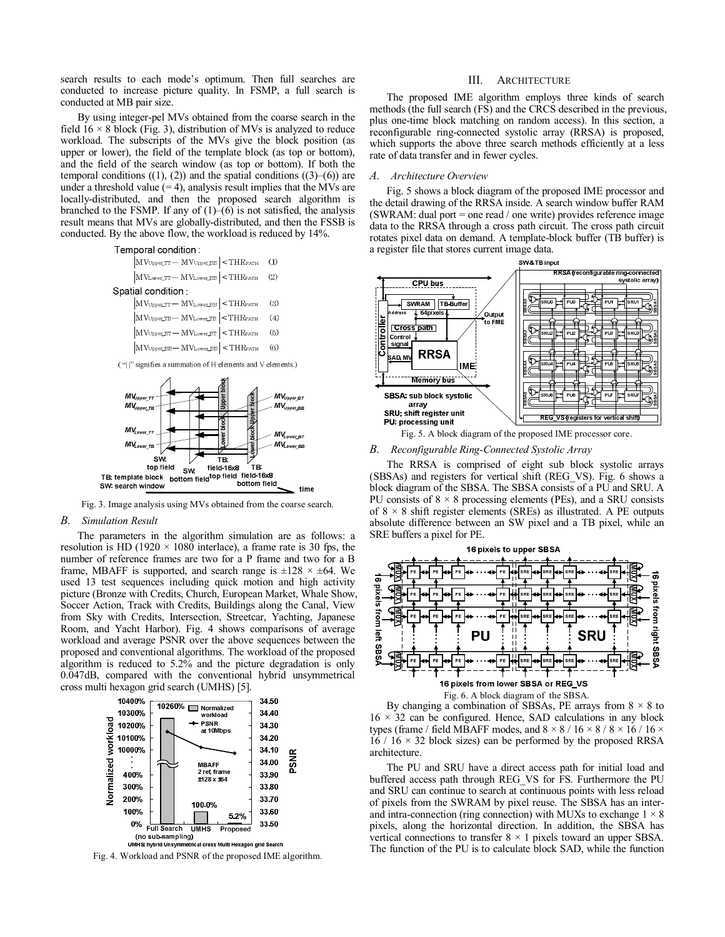search results to each mode's optimum. Then full searches are conducted to increase picture quality. In FSMP, a full search is conducted at MB pair size.

By using integer-pel MVs obtained from the coarse search in the field  $16 \times 8$  block (Fig. 3), distribution of MVs is analyzed to reduce workload. The subscripts of the MVs give the block position (as upper or lower), the field of the template block (as top or bottom), and the field of the search window (as top or bottom). If both the temporal conditions  $((1), (2))$  and the spatial conditions  $((3)–(6))$  are under a threshold value  $(= 4)$ , analysis result implies that the MVs are locally-distributed, and then the proposed search algorithm is branched to the FSMP. If any of  $(1)$ – $(6)$  is not satisfied, the analysis result means that MVs are globally-distributed, and then the FSSB is conducted. By the above flow, the workload is reduced by 14%.

#### Temporal condition

| $\left  \text{MV}_{\text{Upper\_TT}} - \text{MV}_{\text{Upper\_BB}} \right  < \text{THR}_{\text{PATH}} \quad (1)$ |  |  |  |  |  |
|-------------------------------------------------------------------------------------------------------------------|--|--|--|--|--|
| $\left  \text{MV}_{\text{Lower\_TT}} - \text{MV}_{\text{Lower\_BB}} \right  < \text{THR}_{\text{PATH}} \quad (2)$ |  |  |  |  |  |
| Spatial condition .                                                                                               |  |  |  |  |  |
| $\left  \text{MVupper\_TT} - \text{MVLower\_BB} \right  < \text{THRPATH} \quad \quad (3)$                         |  |  |  |  |  |
|                                                                                                                   |  |  |  |  |  |

|  | $ M$ VUpper_TB $-$ M VLower_TB $ \leq$ TH KPATH (4)                                                                       |  |
|--|---------------------------------------------------------------------------------------------------------------------------|--|
|  | $\text{MVupper\_BT} - \text{MVLower\_BT}$ < THRPATH (5)                                                                   |  |
|  | $\left  \text{MV}_{\text{Upper\_BB}} - \text{MV}_{\text{Lower\_BB}} \right  < \text{THR}_{\text{PATH}} \quad \text{ (6)}$ |  |

("||" signifies a summation of H elements and V elements.)



Fig. 3. Image analysis using MVs obtained from the coarse search.

## *B. Simulation Result*

The parameters in the algorithm simulation are as follows: a resolution is HD (1920  $\times$  1080 interlace), a frame rate is 30 fps, the number of reference frames are two for a P frame and two for a B frame, MBAFF is supported, and search range is  $\pm 128 \times \pm 64$ . We used 13 test sequences including quick motion and high activity picture (Bronze with Credits, Church, European Market, Whale Show, Soccer Action, Track with Credits, Buildings along the Canal, View from Sky with Credits, Intersection, Streetcar, Yachting, Japanese Room, and Yacht Harbor). Fig. 4 shows comparisons of average workload and average PSNR over the above sequences between the proposed and conventional algorithms. The workload of the proposed algorithm is reduced to 5.2% and the picture degradation is only 0.047dB, compared with the conventional hybrid unsymmetrical cross multi hexagon grid search (UMHS) [5].



Fig. 4. Workload and PSNR of the proposed IME algorithm.

#### III. ARCHITECTURE

The proposed IME algorithm employs three kinds of search methods (the full search (FS) and the CRCS described in the previous, plus one-time block matching on random access). In this section, a reconfigurable ring-connected systolic array (RRSA) is proposed, which supports the above three search methods efficiently at a less rate of data transfer and in fewer cycles.

#### *A. Architecture Overview*

Fig. 5 shows a block diagram of the proposed IME processor and the detail drawing of the RRSA inside. A search window buffer RAM (SWRAM: dual port = one read / one write) provides reference image data to the RRSA through a cross path circuit. The cross path circuit rotates pixel data on demand. A template-block buffer (TB buffer) is a register file that stores current image data.



Fig. 5. A block diagram of the proposed IME processor core.

#### *B. Reconfigurable Ring-Connected Systolic Array*

The RRSA is comprised of eight sub block systolic arrays (SBSAs) and registers for vertical shift (REG\_VS). Fig. 6 shows a block diagram of the SBSA. The SBSA consists of a PU and SRU. A PU consists of  $8 \times 8$  processing elements (PEs), and a SRU consists of  $8 \times 8$  shift register elements (SREs) as illustrated. A PE outputs absolute difference between an SW pixel and a TB pixel, while an SRE buffers a pixel for PE.





The PU and SRU have a direct access path for initial load and buffered access path through REG\_VS for FS. Furthermore the PU and SRU can continue to search at continuous points with less reload of pixels from the SWRAM by pixel reuse. The SBSA has an interand intra-connection (ring connection) with MUXs to exchange  $1 \times 8$ pixels, along the horizontal direction. In addition, the SBSA has vertical connections to transfer  $8 \times 1$  pixels toward an upper SBSA. The function of the PU is to calculate block SAD, while the function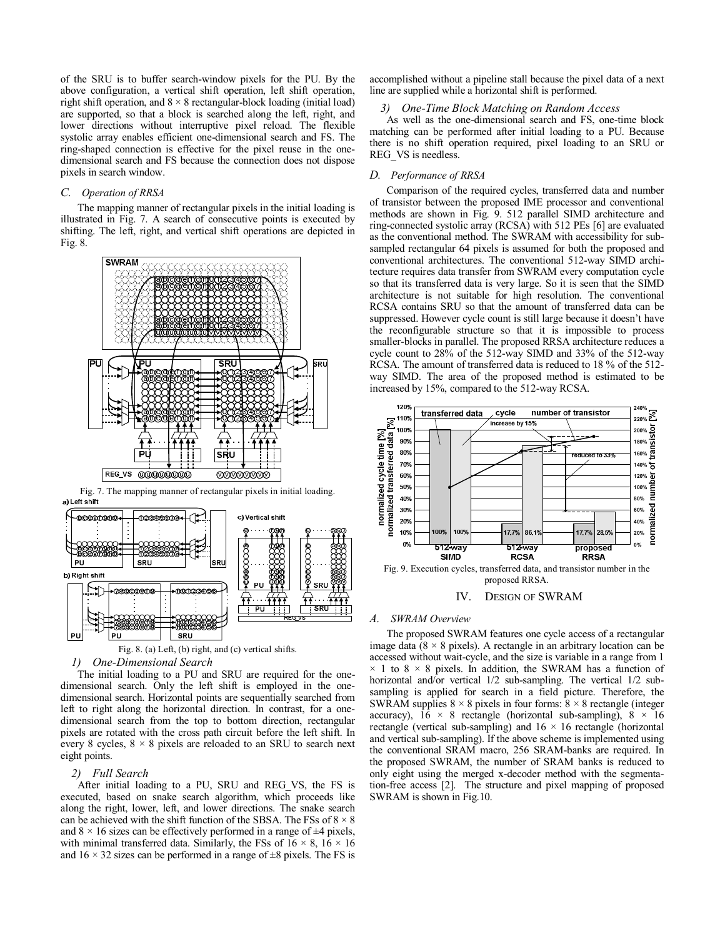of the SRU is to buffer search-window pixels for the PU. By the above configuration, a vertical shift operation, left shift operation, right shift operation, and  $8 \times 8$  rectangular-block loading (initial load) are supported, so that a block is searched along the left, right, and lower directions without interruptive pixel reload. The flexible systolic array enables efficient one-dimensional search and FS. The ring-shaped connection is effective for the pixel reuse in the onedimensional search and FS because the connection does not dispose pixels in search window.

# *C. Operation of RRSA*

The mapping manner of rectangular pixels in the initial loading is illustrated in Fig. 7. A search of consecutive points is executed by shifting. The left, right, and vertical shift operations are depicted in Fig. 8.



Fig. 7. The mapping manner of rectangular pixels in initial loading. a) Left shift





# *1) One-Dimensional Search*

The initial loading to a PU and SRU are required for the onedimensional search. Only the left shift is employed in the onedimensional search. Horizontal points are sequentially searched from left to right along the horizontal direction. In contrast, for a onedimensional search from the top to bottom direction, rectangular pixels are rotated with the cross path circuit before the left shift. In every 8 cycles,  $8 \times 8$  pixels are reloaded to an SRU to search next eight points.

### *2) Full Search*

After initial loading to a PU, SRU and REG\_VS, the FS is executed, based on snake search algorithm, which proceeds like along the right, lower, left, and lower directions. The snake search can be achieved with the shift function of the SBSA. The FSs of  $8 \times 8$ and  $8 \times 16$  sizes can be effectively performed in a range of  $\pm 4$  pixels, with minimal transferred data. Similarly, the FSs of  $16 \times 8$ ,  $16 \times 16$ and  $16 \times 32$  sizes can be performed in a range of  $\pm 8$  pixels. The FS is accomplished without a pipeline stall because the pixel data of a next line are supplied while a horizontal shift is performed.

#### *3) One-Time Block Matching on Random Access*

As well as the one-dimensional search and FS, one-time block matching can be performed after initial loading to a PU. Because there is no shift operation required, pixel loading to an SRU or REG\_VS is needless.

## *D. Performance of RRSA*

Comparison of the required cycles, transferred data and number of transistor between the proposed IME processor and conventional methods are shown in Fig. 9. 512 parallel SIMD architecture and ring-connected systolic array (RCSA) with 512 PEs [6] are evaluated as the conventional method. The SWRAM with accessibility for subsampled rectangular 64 pixels is assumed for both the proposed and conventional architectures. The conventional 512-way SIMD architecture requires data transfer from SWRAM every computation cycle so that its transferred data is very large. So it is seen that the SIMD architecture is not suitable for high resolution. The conventional RCSA contains SRU so that the amount of transferred data can be suppressed. However cycle count is still large because it doesn't have the reconfigurable structure so that it is impossible to process smaller-blocks in parallel. The proposed RRSA architecture reduces a cycle count to 28% of the 512-way SIMD and 33% of the 512-way RCSA. The amount of transferred data is reduced to 18 % of the 512 way SIMD. The area of the proposed method is estimated to be increased by 15%, compared to the 512-way RCSA.



IV. DESIGN OF SWRAM

# *A. SWRAM Overview*

The proposed SWRAM features one cycle access of a rectangular image data ( $8 \times 8$  pixels). A rectangle in an arbitrary location can be accessed without wait-cycle, and the size is variable in a range from 1  $\times$  1 to 8  $\times$  8 pixels. In addition, the SWRAM has a function of horizontal and/or vertical  $1/2$  sub-sampling. The vertical  $1/2$  subsampling is applied for search in a field picture. Therefore, the SWRAM supplies  $8 \times 8$  pixels in four forms:  $8 \times 8$  rectangle (integer accuracy),  $16 \times 8$  rectangle (horizontal sub-sampling),  $8 \times 16$ rectangle (vertical sub-sampling) and  $16 \times 16$  rectangle (horizontal and vertical sub-sampling). If the above scheme is implemented using the conventional SRAM macro, 256 SRAM-banks are required. In the proposed SWRAM, the number of SRAM banks is reduced to only eight using the merged x-decoder method with the segmentation-free access [2]. The structure and pixel mapping of proposed SWRAM is shown in Fig.10.